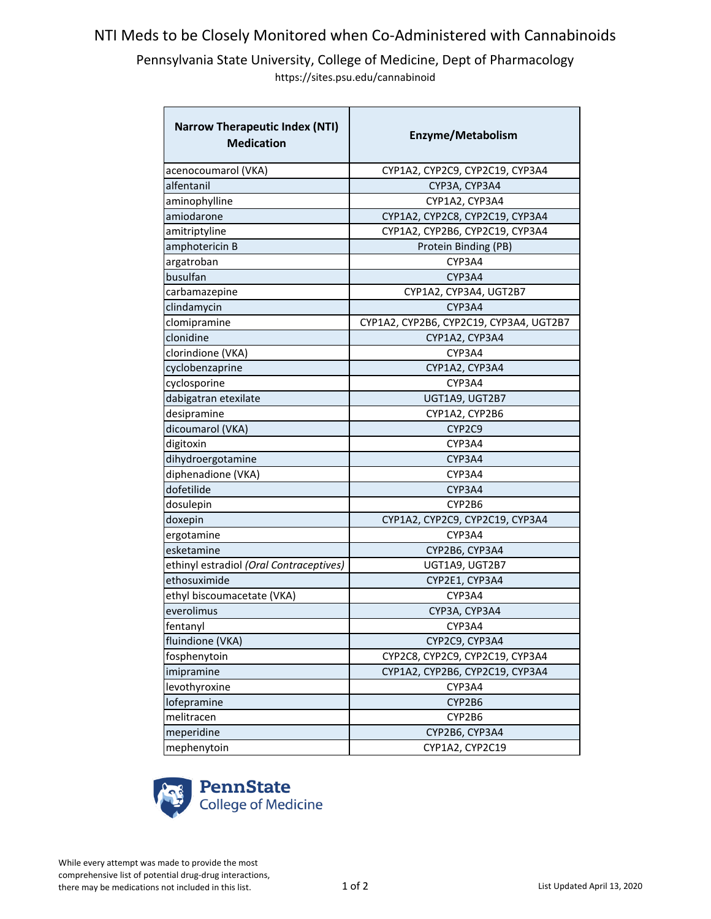## NTI Meds to be Closely Monitored when Co-Administered with Cannabinoids

Pennsylvania State University, College of Medicine, Dept of Pharmacology https://sites.psu.edu/cannabinoid

| <b>Narrow Therapeutic Index (NTI)</b><br><b>Medication</b> | Enzyme/Metabolism                       |
|------------------------------------------------------------|-----------------------------------------|
| acenocoumarol (VKA)                                        | CYP1A2, CYP2C9, CYP2C19, CYP3A4         |
| alfentanil                                                 | CYP3A, CYP3A4                           |
| aminophylline                                              | CYP1A2, CYP3A4                          |
| amiodarone                                                 | CYP1A2, CYP2C8, CYP2C19, CYP3A4         |
| amitriptyline                                              | CYP1A2, CYP2B6, CYP2C19, CYP3A4         |
| amphotericin B                                             | Protein Binding (PB)                    |
| argatroban                                                 | CYP3A4                                  |
| busulfan                                                   | CYP3A4                                  |
| carbamazepine                                              | CYP1A2, CYP3A4, UGT2B7                  |
| clindamycin                                                | CYP3A4                                  |
| clomipramine                                               | CYP1A2, CYP2B6, CYP2C19, CYP3A4, UGT2B7 |
| clonidine                                                  | CYP1A2, CYP3A4                          |
| clorindione (VKA)                                          | CYP3A4                                  |
| cyclobenzaprine                                            | CYP1A2, CYP3A4                          |
| cyclosporine                                               | CYP3A4                                  |
| dabigatran etexilate                                       | UGT1A9, UGT2B7                          |
| desipramine                                                | CYP1A2, CYP2B6                          |
| dicoumarol (VKA)                                           | CYP2C9                                  |
| digitoxin                                                  | CYP3A4                                  |
| dihydroergotamine                                          | CYP3A4                                  |
| diphenadione (VKA)                                         | CYP3A4                                  |
| dofetilide                                                 | CYP3A4                                  |
| dosulepin                                                  | CYP2B6                                  |
| doxepin                                                    | CYP1A2, CYP2C9, CYP2C19, CYP3A4         |
| ergotamine                                                 | CYP3A4                                  |
| esketamine                                                 | CYP2B6, CYP3A4                          |
| ethinyl estradiol (Oral Contraceptives)                    | UGT1A9, UGT2B7                          |
| ethosuximide                                               | CYP2E1, CYP3A4                          |
| ethyl biscoumacetate (VKA)                                 | CYP3A4                                  |
| everolimus                                                 | CYP3A, CYP3A4                           |
| fentanyl                                                   | CYP3A4                                  |
| fluindione (VKA)                                           | CYP2C9, CYP3A4                          |
| fosphenytoin                                               | CYP2C8, CYP2C9, CYP2C19, CYP3A4         |
| imipramine                                                 | CYP1A2, CYP2B6, CYP2C19, CYP3A4         |
| levothyroxine                                              | CYP3A4                                  |
| lofepramine                                                | CYP2B6                                  |
| melitracen                                                 | CYP2B6                                  |
| meperidine                                                 | CYP2B6, CYP3A4                          |
| mephenytoin                                                | CYP1A2, CYP2C19                         |